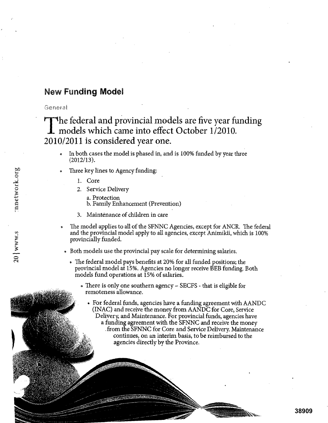## **New Funding Model**

General

# The federal and provincial models are five year funding models which came into effect October 1/2010. 2010/2011 is considered year one.

- In both cases the model is phased in, and is 100% funded by year three (2012/13).
- Three key lines to Agency funding: a. Protection (1.) b. Family Enhancement (Prevention)<br>
a. Protection<br>
b. Family Enhancement (Prevention)
	- 1. Core
	- 2. Service Delivery
		-
		-
	- 3. Maintenance of children in care
	- The model applies to all of the SFNNC Agencies, except for ANCR. The federal and the provincial model apply to all agencies, except Animikii, which is 100% provincially funded.
		- Both models use the provincial pay scale for determining salaries.
			- The federal model pays benefits at 20% for all funded positions; the provincial model at 15%. Agencies no longer receive BEB funding. Both models fund operations at 15% of salaries.
				- There is only one southern agency SECFS that is eligible for remoteness allowance.
					- For federal funds, agencies have a funding agreement with AANDC (INAC) and receive the money from AANDC for Core, Service Delivery, and Maintenance. For provincial funds, agencies have a funding agreement with the SFNNC and receive the money . from the SFNNC for Core and Service Delivery. Maintenance continues, on an interim basis, to be reimbursed to the agencies directly by the Province.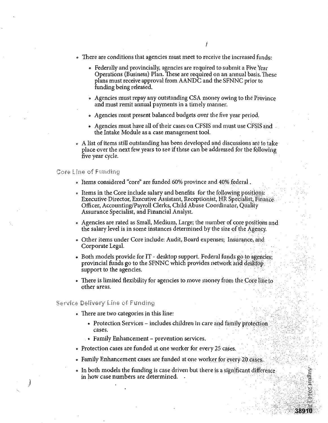- There are conditions that agencies must meet to receive the increased funds:
	- Federally and provincially, agencies are required to submit a Five Year Operations (Business) Plan. These are required on an annual basis. These plans must receive approval from AANDC and the SFNNC prior to funding being released.
	- Agencies must repay any outstanding CSA money owing to the Province and must remit annual payments in a timely manner.
	- Agencies must present balanced budgets over the five year period.
	- Agencies must have all of their cases on CFSIS and must use CFSIS and the Intake Module as a case management tool.
- o A list of items still outstanding has been developed and discussions are to take place over the next few years to see if these can be addressed for the following five year cycle.

#### Core Line of Funding

- Items considered "core" are funded 60% province and 40% federal .
- Items in the Core include salary and benefits for the following positions: Executive Director, Executive Assistant, Receptionist, HR Specialist, Finance. Officer, Accounting/Payroll Clerks, Child Abuse Coordinator, Quality Assurance Specialist, and Financial Analyst.
- Agencies are rated as Small, Medium, Large; the number of core positions and the salary level is in some instances determined by the size of the Agency
- Other items under Core include: Audit, Board expenses; Insurance, aid Corporate Legal.
- Both models provide for IT desktop support. Federal funds go to agencies; provincial funds go to the SFNNC which provides network and desktop; support to the agencies.
- There is limited flexibility for agencies to move money from the Core line to other areas.

#### Service Delivery Line of Funding

- There are two categories in this line:
	- Protection Services includes children in care and family protection cases.
	- Family Enhancement prevention services.
- Protection cases are funded at one worker for every 25 cases.
- Family Enhancement cases are funded at one worker for every 20 cases.
- o In both models the funding is case driven but there is a significant difforence in how case numbers are determined. .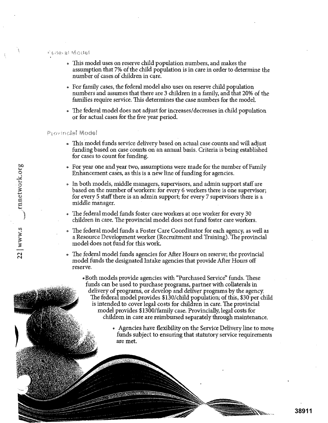#### Perfeiral Model

- This model uses on reserve child population numbers, and makes the assumption that 7% of the child population is in care in order to determine the number of cases of children in care.
- For family cases, the federal model also uses on reserve child population numbers and assumes that there are 3 children in a family, and that 20% of the families require service. This determines the case numbers for the model.
- The federal model does not adjust for increases/decreases in child population or for actual cases for the five year period.

#### Provincial Model

- This model funds service delivery based on actual case counts and will adjust funding based on case counts on an annual basis. Criteria is being established for cases to count for funding.
- For year one and year two, assumptions were made for the number of Family Enhancement cases, as this is a new line of funding for agencies.
- o In both models, middle managers, supervisors, and admin support staff are based on the number of workers: for every 6 workers there is one supervisor; for every 5 staff there is an admin support; for every 7 supervisors there is a Enhancement case<br>
Enhancement case<br>
Enhancement case<br>
in both models, r<br>
based on the num<br>
for every 5 staff t<br>
middle manager.
	- The federal model funds foster care workers at one worker for every 30 children in care. The provincial model does not fund foster care workers.
- o The federal model funds a Foster Care Coordinator for each agency, as well as a Resource Development worker (Recruitment and Training). The provincial model does not fund for this work. The federal model funds a Foster Care Coordinator for each agency, as well a<br>a Resource Development worker (Recruitment and Training). The provincia<br>model does not fund for this work.<br>The federal model funds agencies for A
	- model funds the designated Intake agencies that provide After Hours off reserve.
		- .Both models- provide agencies with "Purchased Service" funds. These funds can be used to purchase programs, partner with collaterals in delivery of programs, or develop and deliver programs by the agency. The federal model provides \$130/child population; of this, \$30 per child is intended to cover legal costs for children in care. The provincial model provides \$1300/family case. Provincially, legal costs for children in care are reimbursed separately through maintenance.
			- Agencies have flexibility on the Service Delivery line to move funds subject to ensuring that statutory service requirements are met.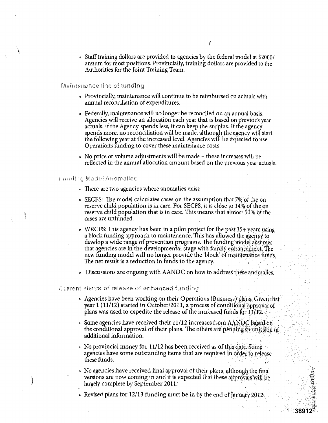• Staff training dollars are provided to agencies by the federal model at \$2000/ annum for most positions. Provincially, training dollars are provided to the Authorities for the Joint Training Team.

#### Maintenance line of funding

- Provincially, maintenance will continue to be reimbursed on actuals with annual reconciliation of expenditures.
- Federally, maintenance will no longer be reconciled on an annual basis: Agencies will receive an allocation each year that is based on previous year actuals. If the Agency spends less, it can keep the surplus. If the agency spends more, no reconciliation will be made, although the agency will start the following year at the increased level. Agencies will be expected to use Operations funding to cover these maintenance costs. •
- No price or volume adjustments will be made these increases will be reflected in the annual allocation amount based on the previous year actuals.

#### Funding Model Anomalies

- There are two agencies where anomalies exist:
- SECFS: The model calculates cases on the assumption that 7% of the on reserve child population is in care. For SECFS, it is close to 14% of the on reserve child population that is in care. This means that almost 50% Of the cases are unfunded.
- o WRCFS: This agency has been in a pilot project for the past 15+ years using a block funding approach to maintenance. This has allowed the agency to develop a wide range of prevention programs. The funding model assumes that agencies are in the developmental stage with fainily enhancement: The new funding model will no longer provide the 'block' of maintenance funds. The net result is a reduction in funds to the agency.

Discussions are ongoing with AANDC on how to address these anomalies.

#### Qurrent status of release of enhanced funding

- Agencies have been working on their Operations (Business) plans. Given that year  $1(11/12)$  started in October/2011, a process of conditional approval of plans was used to expedite the release of the increased funds for  $11/12$ .
- Some agencies have received their  $11/12$  increases from AANDC based on the conditional approval of their plans. The others are pending subinission of additional information.
- No provincial money for 11/12 has been received as of this date. Some agencies have some outstanding items that are required in order to release these funds.
- No agencies have received final approval of their plans, although the final versions are now coming in and it is expected that these approvals will be largely complete by September 2011.

**38912**

Revised plans for 12/13 funding must be in by the end of January 2012.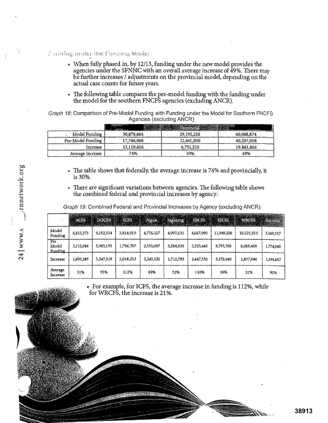### $f$  and the funding Model

- When fully phased in, by 12/13, funding under the new model provides the agencies under the SFNNC with an overall average increase of 49%. There may be further increases / adjustments on the provincial model, depending on the actual case counts for future years.
- The following table compares the pre-model funding with the funding under the model for the southern FNCFS agencies (excluding ANCR),

Graph 18: Comparison of Pre-Model Funding with Funding under the Model for Southern FNCFS Agencies (excluding ANCR)

| <b>Aydrugo (CAURUIN)</b> ANON) |                                             |                                              |            |  |  |  |  |  |  |  |  |
|--------------------------------|---------------------------------------------|----------------------------------------------|------------|--|--|--|--|--|--|--|--|
|                                | <b><i><u>ROCKETRON</u></i></b><br>110219-01 | <b>BACK AND ACCOUNTER OF A REAL PROPERTY</b> |            |  |  |  |  |  |  |  |  |
| Model Funding                  | 30,876,664                                  | 29,192,210                                   | 60,068,874 |  |  |  |  |  |  |  |  |
| Pre-Model Funding              | 17,766,008                                  | 22,441,000                                   | 40,207,008 |  |  |  |  |  |  |  |  |
| Increase                       | 13,110,656                                  | 6.751.210                                    | 19,861,866 |  |  |  |  |  |  |  |  |
| Average Increase               | 74%                                         | 30%                                          | 49%        |  |  |  |  |  |  |  |  |

- The table shows that federally, the average increase is 74% and provincially, it is 30%.
- There are significant variations between agencies. The following table shows the combined federal and provincial increases by agency:

Graph 19: Combined Federal and Provincial Increases by Agency (excluding ANCR)

|                                              | ACFS      |           | <b>BROOGHT AND CLEAR AND CLEAR AND CLEAR AND CLEAR AND CLEAR AND CLEAR AND ACCOUNT AND ACCOUNT AND ACCOUNT</b><br><b>ENGINEERIKKE (SEE ALANDER) BETALLING DARK</b> |           | EXECUTIVE PROPERTY OF BUILDING |           |            | Sagkeeng SRCPS - SEORS - WRCES EXPRESS<br>THE REPORT OF THE PROPERTY OF THE REAL PROPERTY. |           |
|----------------------------------------------|-----------|-----------|--------------------------------------------------------------------------------------------------------------------------------------------------------------------|-----------|--------------------------------|-----------|------------|--------------------------------------------------------------------------------------------|-----------|
| Model<br>Funding                             | 6,815,373 | 9,152,514 | 3,814,919                                                                                                                                                          | 4,776,127 | 4,997,631                      | 4,667,990 | 11,949,208 | 10,525,555                                                                                 | 3,369,557 |
| $\overline{\text{Pre}}$<br>Model<br>Funding. | 5,210,084 | 5,905,195 | 1,796,707                                                                                                                                                          | 2,530,607 | 3,284,838                      | 2,220,440 | 8,795,768  | 8,688,469                                                                                  | 1,774.900 |
| Increase                                     | 1,605,289 | 3,247,319 | 2,018,212                                                                                                                                                          | 2,245,520 | 1,712,793                      | 2.447,550 | 3,153,440  | 1,837,086                                                                                  | 1,594,657 |
| Average<br>Increase                          | 31%       | 55%       | 112%                                                                                                                                                               | 89%       | 52%                            | 110%      | 36%        | 21%                                                                                        | 90%       |

For example, for ICFS, the average increase in funding is 112%, while for WRCFS, the increase is 21%.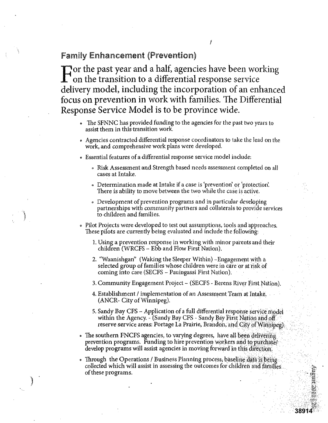### **Family Enhancement (Prevention)**

 $\Gamma$  or the past year and a half, agencies have been working **1** on the transition to a differential response service delivery model, including the incorporation of an enhanced focus on prevention in work with families. The Differential Response Service Model is to be province wide.

- The SFNNC has provided funding to the agencies for the past two years to assist them in this transition work.
- Agencies contracted differential response coordinators to take the lead on the work, and comprehensive work plans were developed.
- Essential features of a differential response service model include:
	- Risk Assessment and Strength based needs assessment completed on all cases at Intake.
	- Determination made at Intake if a case is 'prevention' or 'protection'. There is ability to move between the two while the case is active.
	- Development of prevention programs and in particular developing partnerships with community partners and collaterals to provide services to children and families.
- Pilot Projects were developed to test out assumptions, tools and approaches. These pilots are currently being evaluated and include the following: .
	- 1. Using a prevention response in working with minor patents and their children (WRCFS - Ebb and Flow First Nation).
	- 2. "Waanishgan" (Waking the Sleeper Within) -Engagement with a selected group of families whose children were in care or at risk of coming into care (SECFS - Pauingassi First Nation). •
	- 3. Community Engagement Project (SECFS Berens River First Nation).
	- 4. Establishment / implementation of an Assessment Team at Intake. (ANCR- City of Winnipeg).
	- 5. Sandy Bay CFS Application of a full differential response service model within the Agency. - (Sandy Bay CFS - Sandy Bay First Nation and off reserve service areas: Portage La Prairie, Brandon, and City of Winnipeg).
- The southern FNCFS agencies, to varying degrees, have all been delivering prevention programs. Funding to hire prevention workers and to purchase. develop programs will assist agencies in moving forward in this difection.
- . Through the Operations / Business Planning process, baseline data is being collected which will assist in assessing the outcomes for children and families. of these programs.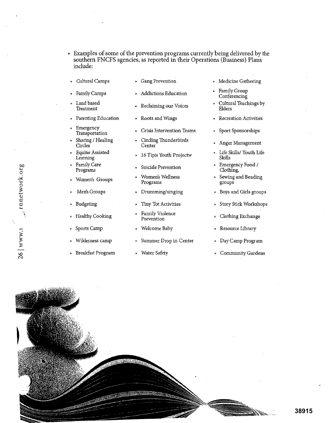- Examples of some of the prevention programs currently being delivered by the southern FNCFS agencies, as reported in their Operations (Business) Plans include:
- Cultural Camps

• Parenting Education

- Gang Prevention
- Family Camps Land based

**Treatment** 

**Emergency** Transportation Sharing / Healing

• Equine Assisted Learning Family Care Programs

• Women's Groups

• Men's Groups

• Healthy Cooking

• Sports Camp

• Wilderness camp

• Breakfast Program

• Budgeting

Circles

- Addictions Education
- Reclaiming our Voices
	- Roots and Wings
	- Crisis Intervention Teams
	- Circling Thunderbirds Center
	- 16 Tipis Youth Projectw
	- Suicide Prevention
	- Women's Wellness Programs
	- Drumming/singing
	- Tiny Tot Activities
	- Family Violence Prevention
	- Welcome Baby
	- Summer Drop in Center
	- Water Safety
- Medicine Gathering
- Family Group Conferencing
- Cultural Teachings by Elders
- Recreation Activities
- Sport Sponsorships
- Anger Management
- Life Skills/ Youth Life Skills
- Emergency Food / Clothing,
- Sewing and Beading groups
- Boys and Girls groups
- Story Stick Workshops
- Clothing Exchange
- Resource Library
- Day Camp Program
- Community Gardens



rnnetwork.org rnnetwork. 26 | www.s